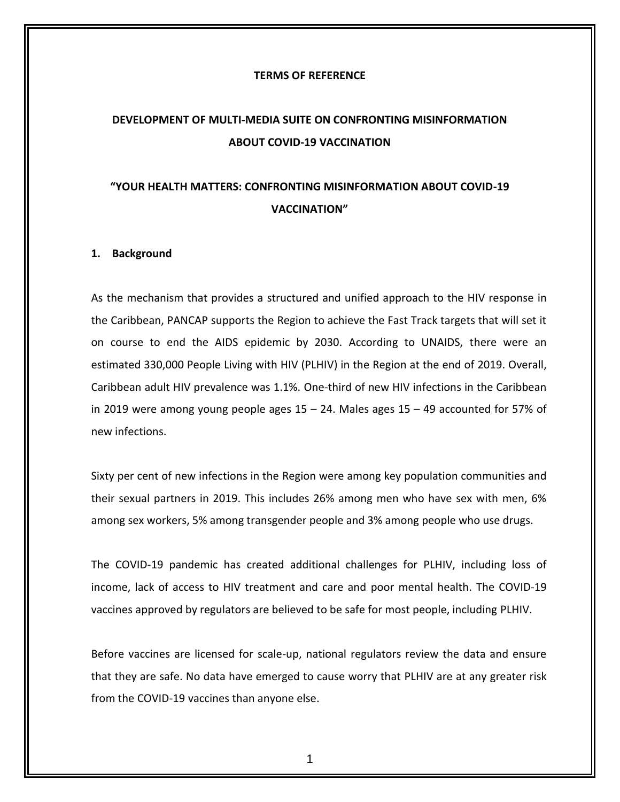#### **TERMS OF REFERENCE**

# **DEVELOPMENT OF MULTI-MEDIA SUITE ON CONFRONTING MISINFORMATION ABOUT COVID-19 VACCINATION**

# **"YOUR HEALTH MATTERS: CONFRONTING MISINFORMATION ABOUT COVID-19 VACCINATION"**

#### **1. Background**

As the mechanism that provides a structured and unified approach to the HIV response in the Caribbean, PANCAP supports the Region to achieve the Fast Track targets that will set it on course to end the AIDS epidemic by 2030. According to UNAIDS, there were an estimated 330,000 People Living with HIV (PLHIV) in the Region at the end of 2019. Overall, Caribbean adult HIV prevalence was 1.1%. One-third of new HIV infections in the Caribbean in 2019 were among young people ages  $15 - 24$ . Males ages  $15 - 49$  accounted for 57% of new infections.

Sixty per cent of new infections in the Region were among key population communities and their sexual partners in 2019. This includes 26% among men who have sex with men, 6% among sex workers, 5% among transgender people and 3% among people who use drugs.

The COVID-19 pandemic has created additional challenges for PLHIV, including loss of income, lack of access to HIV treatment and care and poor mental health. The COVID-19 vaccines approved by regulators are believed to be safe for most people, including PLHIV.

Before vaccines are licensed for scale-up, national regulators review the data and ensure that they are safe. No data have emerged to cause worry that PLHIV are at any greater risk from the COVID-19 vaccines than anyone else.

1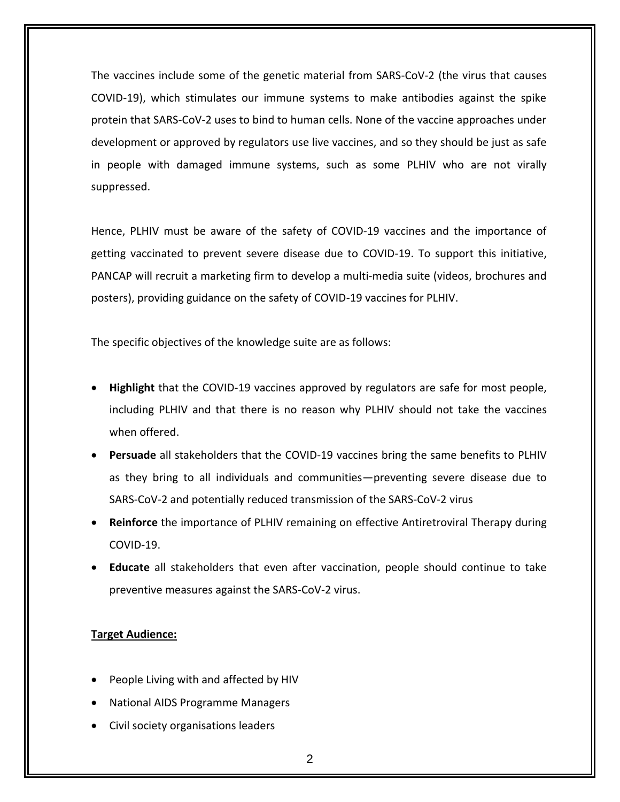The vaccines include some of the genetic material from SARS-CoV-2 (the virus that causes COVID-19), which stimulates our immune systems to make antibodies against the spike protein that SARS-CoV-2 uses to bind to human cells. None of the vaccine approaches under development or approved by regulators use live vaccines, and so they should be just as safe in people with damaged immune systems, such as some PLHIV who are not virally suppressed.

Hence, PLHIV must be aware of the safety of COVID-19 vaccines and the importance of getting vaccinated to prevent severe disease due to COVID-19. To support this initiative, PANCAP will recruit a marketing firm to develop a multi-media suite (videos, brochures and posters), providing guidance on the safety of COVID-19 vaccines for PLHIV.

The specific objectives of the knowledge suite are as follows:

- **Highlight** that the COVID-19 vaccines approved by regulators are safe for most people, including PLHIV and that there is no reason why PLHIV should not take the vaccines when offered.
- **Persuade** all stakeholders that the COVID-19 vaccines bring the same benefits to PLHIV as they bring to all individuals and communities—preventing severe disease due to SARS-CoV-2 and potentially reduced transmission of the SARS-CoV-2 virus
- **Reinforce** the importance of PLHIV remaining on effective Antiretroviral Therapy during COVID-19.
- **Educate** all stakeholders that even after vaccination, people should continue to take preventive measures against the SARS-CoV-2 virus.

## **Target Audience:**

- People Living with and affected by HIV
- National AIDS Programme Managers
- Civil society organisations leaders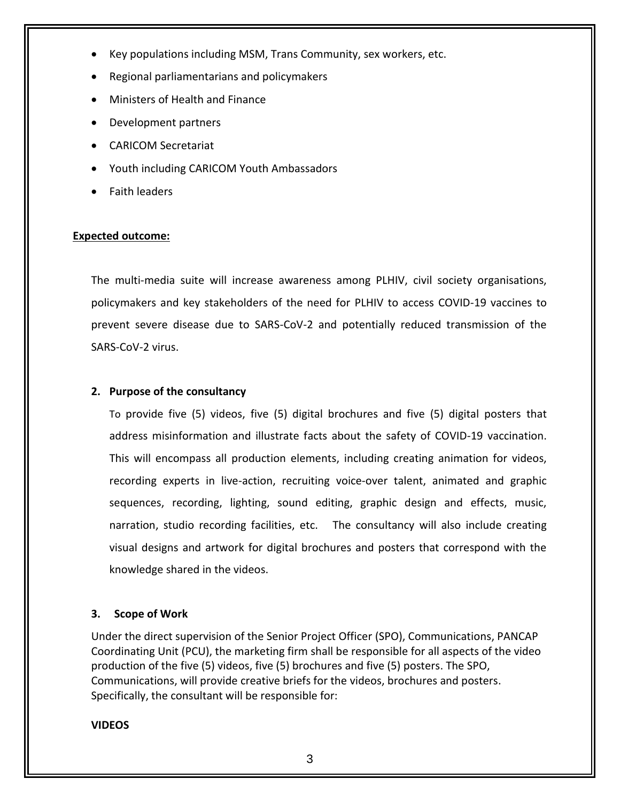- Key populations including MSM, Trans Community, sex workers, etc.
- Regional parliamentarians and policymakers
- Ministers of Health and Finance
- Development partners
- CARICOM Secretariat
- Youth including CARICOM Youth Ambassadors
- Faith leaders

## **Expected outcome:**

The multi-media suite will increase awareness among PLHIV, civil society organisations, policymakers and key stakeholders of the need for PLHIV to access COVID-19 vaccines to prevent severe disease due to SARS-CoV-2 and potentially reduced transmission of the SARS-CoV-2 virus.

### **2. Purpose of the consultancy**

To provide five (5) videos, five (5) digital brochures and five (5) digital posters that address misinformation and illustrate facts about the safety of COVID-19 vaccination. This will encompass all production elements, including creating animation for videos, recording experts in live-action, recruiting voice-over talent, animated and graphic sequences, recording, lighting, sound editing, graphic design and effects, music, narration, studio recording facilities, etc. The consultancy will also include creating visual designs and artwork for digital brochures and posters that correspond with the knowledge shared in the videos.

#### **3. Scope of Work**

Under the direct supervision of the Senior Project Officer (SPO), Communications, PANCAP Coordinating Unit (PCU), the marketing firm shall be responsible for all aspects of the video production of the five (5) videos, five (5) brochures and five (5) posters. The SPO, Communications, will provide creative briefs for the videos, brochures and posters. Specifically, the consultant will be responsible for:

#### **VIDEOS**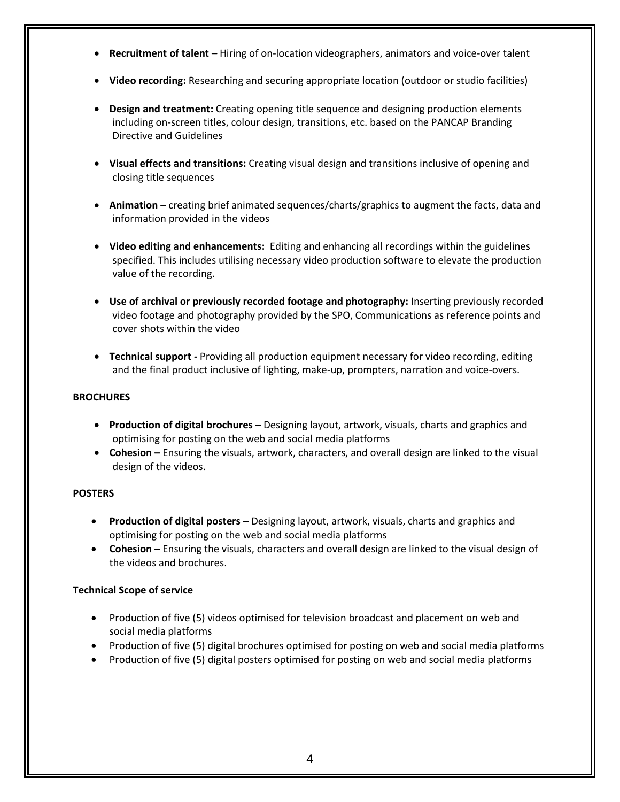- **Recruitment of talent –** Hiring of on-location videographers, animators and voice-over talent
- **Video recording:** Researching and securing appropriate location (outdoor or studio facilities)
- **Design and treatment:** Creating opening title sequence and designing production elements including on-screen titles, colour design, transitions, etc. based on the PANCAP Branding Directive and Guidelines
- **Visual effects and transitions:** Creating visual design and transitions inclusive of opening and closing title sequences
- **Animation –** creating brief animated sequences/charts/graphics to augment the facts, data and information provided in the videos
- **Video editing and enhancements:** Editing and enhancing all recordings within the guidelines specified. This includes utilising necessary video production software to elevate the production value of the recording.
- **Use of archival or previously recorded footage and photography:** Inserting previously recorded video footage and photography provided by the SPO, Communications as reference points and cover shots within the video
- **Technical support -** Providing all production equipment necessary for video recording, editing and the final product inclusive of lighting, make-up, prompters, narration and voice-overs.

### **BROCHURES**

- **Production of digital brochures –** Designing layout, artwork, visuals, charts and graphics and optimising for posting on the web and social media platforms
- **Cohesion –** Ensuring the visuals, artwork, characters, and overall design are linked to the visual design of the videos.

#### **POSTERS**

- **Production of digital posters –** Designing layout, artwork, visuals, charts and graphics and optimising for posting on the web and social media platforms
- **Cohesion –** Ensuring the visuals, characters and overall design are linked to the visual design of the videos and brochures.

## **Technical Scope of service**

- Production of five (5) videos optimised for television broadcast and placement on web and social media platforms
- Production of five (5) digital brochures optimised for posting on web and social media platforms
- Production of five (5) digital posters optimised for posting on web and social media platforms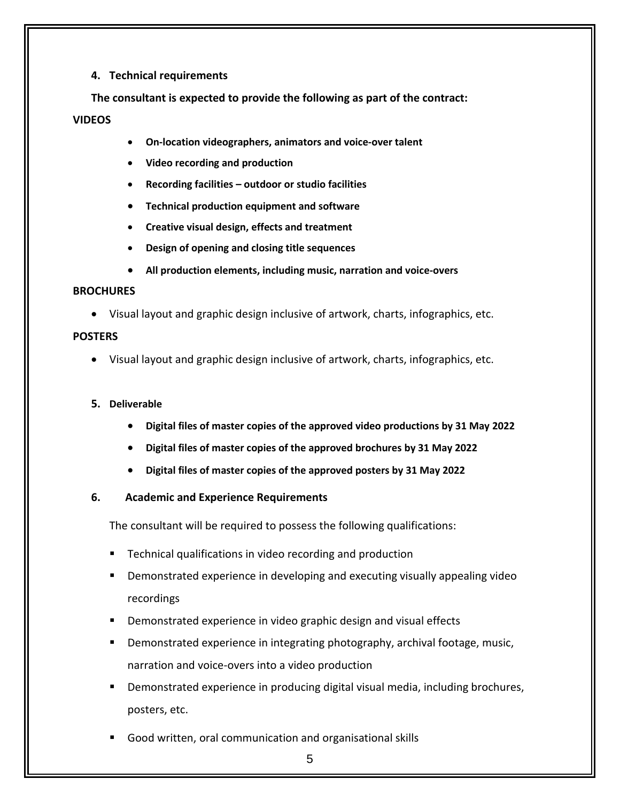## **4. Technical requirements**

**The consultant is expected to provide the following as part of the contract:**

## **VIDEOS**

- **On-location videographers, animators and voice-over talent**
- **Video recording and production**
- **Recording facilities – outdoor or studio facilities**
- **Technical production equipment and software**
- **Creative visual design, effects and treatment**
- **Design of opening and closing title sequences**
- **All production elements, including music, narration and voice-overs**

## **BROCHURES**

• Visual layout and graphic design inclusive of artwork, charts, infographics, etc.

## **POSTERS**

• Visual layout and graphic design inclusive of artwork, charts, infographics, etc.

## **5. Deliverable**

- **Digital files of master copies of the approved video productions by 31 May 2022**
- **Digital files of master copies of the approved brochures by 31 May 2022**
- **Digital files of master copies of the approved posters by 31 May 2022**

## **6. Academic and Experience Requirements**

The consultant will be required to possess the following qualifications:

- **Technical qualifications in video recording and production**
- **•** Demonstrated experience in developing and executing visually appealing video recordings
- Demonstrated experience in video graphic design and visual effects
- Demonstrated experience in integrating photography, archival footage, music, narration and voice-overs into a video production
- Demonstrated experience in producing digital visual media, including brochures, posters, etc.
- Good written, oral communication and organisational skills